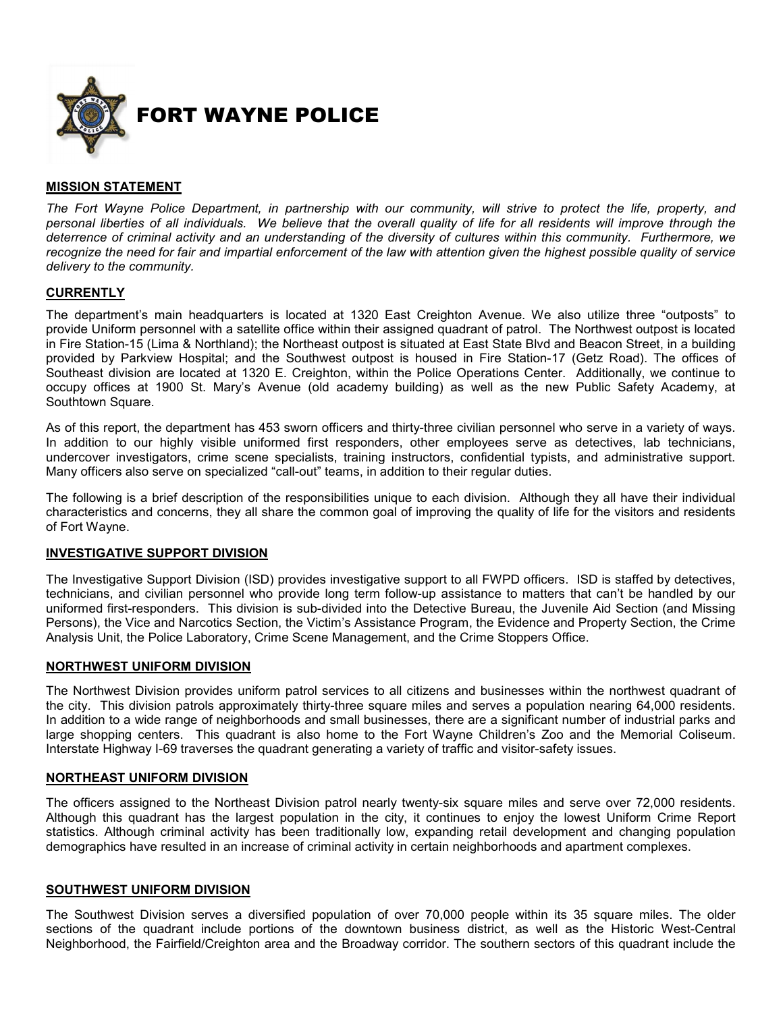

# **MISSION STATEMENT**

*The Fort Wayne Police Department, in partnership with our community, will strive to protect the life, property, and personal liberties of all individuals. We believe that the overall quality of life for all residents will improve through the deterrence of criminal activity and an understanding of the diversity of cultures within this community. Furthermore, we recognize the need for fair and impartial enforcement of the law with attention given the highest possible quality of service delivery to the community.* 

# **CURRENTLY**

The department's main headquarters is located at 1320 East Creighton Avenue. We also utilize three "outposts" to provide Uniform personnel with a satellite office within their assigned quadrant of patrol. The Northwest outpost is located in Fire Station-15 (Lima & Northland); the Northeast outpost is situated at East State Blvd and Beacon Street, in a building provided by Parkview Hospital; and the Southwest outpost is housed in Fire Station-17 (Getz Road). The offices of Southeast division are located at 1320 E. Creighton, within the Police Operations Center. Additionally, we continue to occupy offices at 1900 St. Mary's Avenue (old academy building) as well as the new Public Safety Academy, at Southtown Square.

As of this report, the department has 453 sworn officers and thirty-three civilian personnel who serve in a variety of ways. In addition to our highly visible uniformed first responders, other employees serve as detectives, lab technicians, undercover investigators, crime scene specialists, training instructors, confidential typists, and administrative support. Many officers also serve on specialized "call-out" teams, in addition to their regular duties.

The following is a brief description of the responsibilities unique to each division. Although they all have their individual characteristics and concerns, they all share the common goal of improving the quality of life for the visitors and residents of Fort Wayne.

# **INVESTIGATIVE SUPPORT DIVISION**

The Investigative Support Division (ISD) provides investigative support to all FWPD officers. ISD is staffed by detectives, technicians, and civilian personnel who provide long term follow-up assistance to matters that can't be handled by our uniformed first-responders. This division is sub-divided into the Detective Bureau, the Juvenile Aid Section (and Missing Persons), the Vice and Narcotics Section, the Victim's Assistance Program, the Evidence and Property Section, the Crime Analysis Unit, the Police Laboratory, Crime Scene Management, and the Crime Stoppers Office.

# **NORTHWEST UNIFORM DIVISION**

The Northwest Division provides uniform patrol services to all citizens and businesses within the northwest quadrant of the city. This division patrols approximately thirty-three square miles and serves a population nearing 64,000 residents. In addition to a wide range of neighborhoods and small businesses, there are a significant number of industrial parks and large shopping centers. This quadrant is also home to the Fort Wayne Children's Zoo and the Memorial Coliseum. Interstate Highway I-69 traverses the quadrant generating a variety of traffic and visitor-safety issues.

#### **NORTHEAST UNIFORM DIVISION**

The officers assigned to the Northeast Division patrol nearly twenty-six square miles and serve over 72,000 residents. Although this quadrant has the largest population in the city, it continues to enjoy the lowest Uniform Crime Report statistics. Although criminal activity has been traditionally low, expanding retail development and changing population demographics have resulted in an increase of criminal activity in certain neighborhoods and apartment complexes.

# **SOUTHWEST UNIFORM DIVISION**

The Southwest Division serves a diversified population of over 70,000 people within its 35 square miles. The older sections of the quadrant include portions of the downtown business district, as well as the Historic West-Central Neighborhood, the Fairfield/Creighton area and the Broadway corridor. The southern sectors of this quadrant include the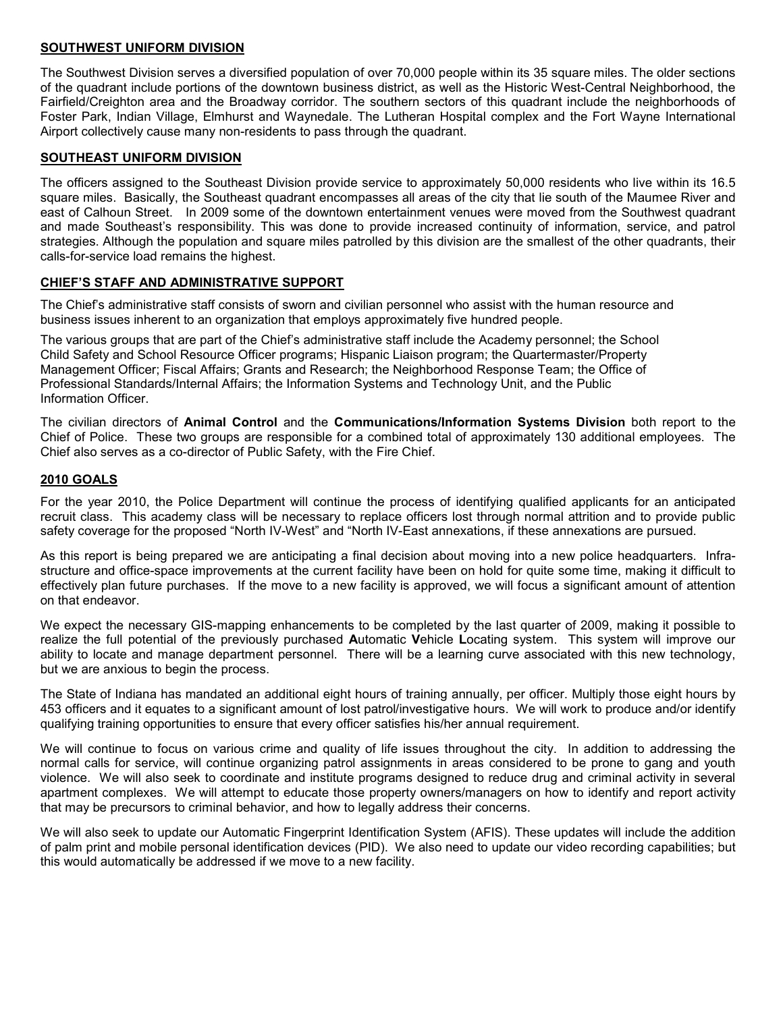# **SOUTHWEST UNIFORM DIVISION**

The Southwest Division serves a diversified population of over 70,000 people within its 35 square miles. The older sections of the quadrant include portions of the downtown business district, as well as the Historic West-Central Neighborhood, the Fairfield/Creighton area and the Broadway corridor. The southern sectors of this quadrant include the neighborhoods of Foster Park, Indian Village, Elmhurst and Waynedale. The Lutheran Hospital complex and the Fort Wayne International Airport collectively cause many non-residents to pass through the quadrant.

# **SOUTHEAST UNIFORM DIVISION**

The officers assigned to the Southeast Division provide service to approximately 50,000 residents who live within its 16.5 square miles. Basically, the Southeast quadrant encompasses all areas of the city that lie south of the Maumee River and east of Calhoun Street. In 2009 some of the downtown entertainment venues were moved from the Southwest quadrant and made Southeast's responsibility. This was done to provide increased continuity of information, service, and patrol strategies. Although the population and square miles patrolled by this division are the smallest of the other quadrants, their calls-for-service load remains the highest.

# **CHIEF'S STAFF AND ADMINISTRATIVE SUPPORT**

The Chief's administrative staff consists of sworn and civilian personnel who assist with the human resource and business issues inherent to an organization that employs approximately five hundred people.

The various groups that are part of the Chief's administrative staff include the Academy personnel; the School Child Safety and School Resource Officer programs; Hispanic Liaison program; the Quartermaster/Property Management Officer; Fiscal Affairs; Grants and Research; the Neighborhood Response Team; the Office of Professional Standards/Internal Affairs; the Information Systems and Technology Unit, and the Public Information Officer.

The civilian directors of **Animal Control** and the **Communications/Information Systems Division** both report to the Chief of Police. These two groups are responsible for a combined total of approximately 130 additional employees. The Chief also serves as a co-director of Public Safety, with the Fire Chief.

# **2010 GOALS**

For the year 2010, the Police Department will continue the process of identifying qualified applicants for an anticipated recruit class. This academy class will be necessary to replace officers lost through normal attrition and to provide public safety coverage for the proposed "North IV-West" and "North IV-East annexations, if these annexations are pursued.

As this report is being prepared we are anticipating a final decision about moving into a new police headquarters. Infrastructure and office-space improvements at the current facility have been on hold for quite some time, making it difficult to effectively plan future purchases. If the move to a new facility is approved, we will focus a significant amount of attention on that endeavor.

We expect the necessary GIS-mapping enhancements to be completed by the last quarter of 2009, making it possible to realize the full potential of the previously purchased **A**utomatic **V**ehicle **L**ocating system. This system will improve our ability to locate and manage department personnel. There will be a learning curve associated with this new technology, but we are anxious to begin the process.

The State of Indiana has mandated an additional eight hours of training annually, per officer. Multiply those eight hours by 453 officers and it equates to a significant amount of lost patrol/investigative hours. We will work to produce and/or identify qualifying training opportunities to ensure that every officer satisfies his/her annual requirement.

We will continue to focus on various crime and quality of life issues throughout the city. In addition to addressing the normal calls for service, will continue organizing patrol assignments in areas considered to be prone to gang and youth violence. We will also seek to coordinate and institute programs designed to reduce drug and criminal activity in several apartment complexes. We will attempt to educate those property owners/managers on how to identify and report activity that may be precursors to criminal behavior, and how to legally address their concerns.

We will also seek to update our Automatic Fingerprint Identification System (AFIS). These updates will include the addition of palm print and mobile personal identification devices (PID). We also need to update our video recording capabilities; but this would automatically be addressed if we move to a new facility.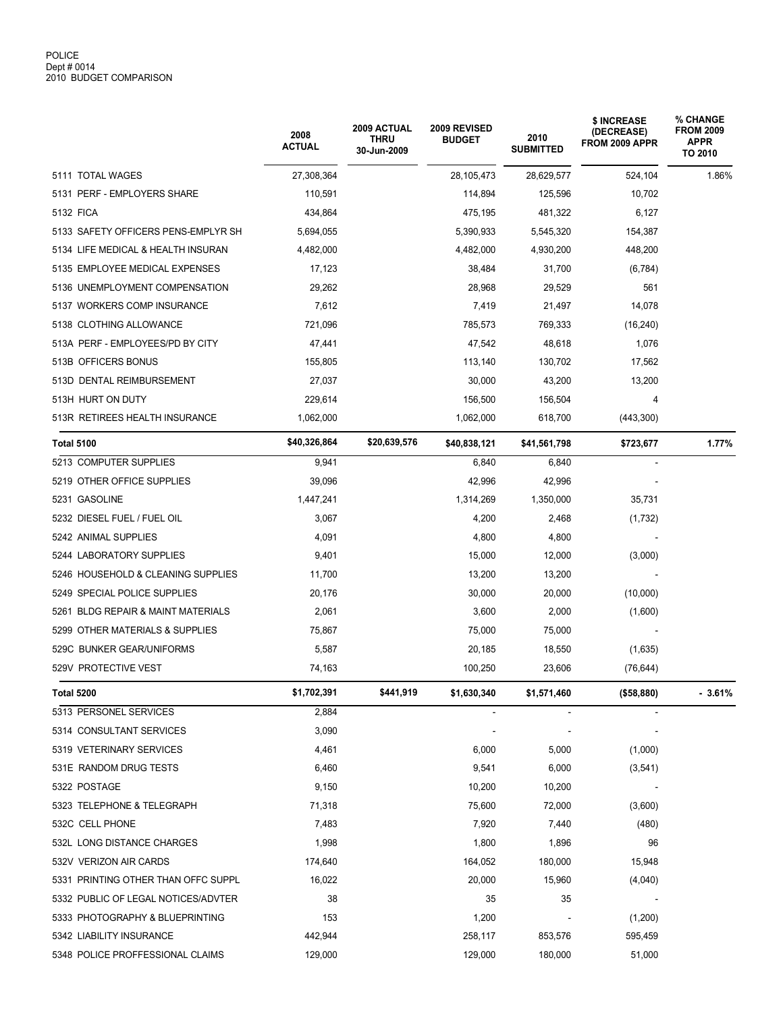|                                     | 2008<br><b>ACTUAL</b> | 2009 ACTUAL<br><b>THRU</b><br>30-Jun-2009 | 2009 REVISED<br><b>BUDGET</b> | 2010<br><b>SUBMITTED</b> | \$ INCREASE<br><b>(DECREASE)</b><br>FROM 2009 APPR | % CHANGE<br><b>FROM 2009</b><br><b>APPR</b><br>TO 2010 |
|-------------------------------------|-----------------------|-------------------------------------------|-------------------------------|--------------------------|----------------------------------------------------|--------------------------------------------------------|
| 5111 TOTAL WAGES                    | 27,308,364            |                                           | 28, 105, 473                  | 28,629,577               | 524,104                                            | 1.86%                                                  |
| 5131 PERF - EMPLOYERS SHARE         | 110,591               |                                           | 114,894                       | 125,596                  | 10,702                                             |                                                        |
| 5132 FICA                           | 434,864               |                                           | 475,195                       | 481,322                  | 6,127                                              |                                                        |
| 5133 SAFETY OFFICERS PENS-EMPLYR SH | 5,694,055             |                                           | 5,390,933                     | 5,545,320                | 154,387                                            |                                                        |
| 5134 LIFE MEDICAL & HEALTH INSURAN  | 4,482,000             |                                           | 4,482,000                     | 4,930,200                | 448,200                                            |                                                        |
| 5135 EMPLOYEE MEDICAL EXPENSES      | 17,123                |                                           | 38,484                        | 31,700                   | (6, 784)                                           |                                                        |
| 5136 UNEMPLOYMENT COMPENSATION      | 29,262                |                                           | 28,968                        | 29,529                   | 561                                                |                                                        |
| 5137 WORKERS COMP INSURANCE         | 7,612                 |                                           | 7,419                         | 21,497                   | 14,078                                             |                                                        |
| 5138 CLOTHING ALLOWANCE             | 721,096               |                                           | 785,573                       | 769,333                  | (16, 240)                                          |                                                        |
| 513A PERF - EMPLOYEES/PD BY CITY    | 47,441                |                                           | 47,542                        | 48,618                   | 1,076                                              |                                                        |
| 513B OFFICERS BONUS                 | 155,805               |                                           | 113,140                       | 130,702                  | 17,562                                             |                                                        |
| 513D DENTAL REIMBURSEMENT           | 27,037                |                                           | 30,000                        | 43,200                   | 13,200                                             |                                                        |
| 513H HURT ON DUTY                   | 229,614               |                                           | 156,500                       | 156,504                  | 4                                                  |                                                        |
| 513R RETIREES HEALTH INSURANCE      | 1,062,000             |                                           | 1,062,000                     | 618,700                  | (443,300)                                          |                                                        |
| <b>Total 5100</b>                   | \$40,326,864          | \$20,639,576                              | \$40,838,121                  | \$41,561,798             | \$723,677                                          | 1.77%                                                  |
| 5213 COMPUTER SUPPLIES              | 9,941                 |                                           | 6,840                         | 6,840                    |                                                    |                                                        |
| 5219 OTHER OFFICE SUPPLIES          | 39,096                |                                           | 42,996                        | 42,996                   |                                                    |                                                        |
| 5231 GASOLINE                       | 1,447,241             |                                           | 1,314,269                     | 1,350,000                | 35,731                                             |                                                        |
| 5232 DIESEL FUEL / FUEL OIL         | 3,067                 |                                           | 4,200                         | 2,468                    | (1,732)                                            |                                                        |
| 5242 ANIMAL SUPPLIES                | 4,091                 |                                           | 4,800                         | 4,800                    |                                                    |                                                        |
| 5244 LABORATORY SUPPLIES            | 9,401                 |                                           | 15,000                        | 12,000                   | (3,000)                                            |                                                        |
| 5246 HOUSEHOLD & CLEANING SUPPLIES  | 11,700                |                                           | 13,200                        | 13,200                   |                                                    |                                                        |
| 5249 SPECIAL POLICE SUPPLIES        | 20,176                |                                           | 30,000                        | 20,000                   | (10,000)                                           |                                                        |
| 5261 BLDG REPAIR & MAINT MATERIALS  | 2,061                 |                                           | 3,600                         | 2,000                    | (1,600)                                            |                                                        |
| 5299 OTHER MATERIALS & SUPPLIES     | 75.867                |                                           | 75,000                        | 75,000                   |                                                    |                                                        |
| 529C BUNKER GEAR/UNIFORMS           | 5,587                 |                                           | 20,185                        | 18,550                   | (1,635)                                            |                                                        |
| 529V PROTECTIVE VEST                | 74,163                |                                           | 100,250                       | 23,606                   | (76, 644)                                          |                                                        |
| Total 5200                          | \$1,702,391           | \$441,919                                 | \$1,630,340                   | \$1,571,460              | (\$58,880)                                         | $-3.61%$                                               |
| 5313 PERSONEL SERVICES              | 2,884                 |                                           |                               |                          |                                                    |                                                        |
| 5314 CONSULTANT SERVICES            | 3,090                 |                                           |                               |                          |                                                    |                                                        |
| 5319 VETERINARY SERVICES            | 4,461                 |                                           | 6,000                         | 5,000                    | (1,000)                                            |                                                        |
| 531E RANDOM DRUG TESTS              | 6,460                 |                                           | 9,541                         | 6,000                    | (3, 541)                                           |                                                        |
| 5322 POSTAGE                        | 9,150                 |                                           | 10,200                        | 10,200                   |                                                    |                                                        |
| 5323 TELEPHONE & TELEGRAPH          | 71,318                |                                           | 75,600                        | 72,000                   | (3,600)                                            |                                                        |
| 532C CELL PHONE                     | 7,483                 |                                           | 7,920                         | 7,440                    | (480)                                              |                                                        |
| 532L LONG DISTANCE CHARGES          | 1,998                 |                                           | 1,800                         | 1,896                    | 96                                                 |                                                        |
| 532V VERIZON AIR CARDS              | 174,640               |                                           | 164,052                       | 180,000                  | 15,948                                             |                                                        |
| 5331 PRINTING OTHER THAN OFFC SUPPL | 16,022                |                                           | 20,000                        | 15,960                   | (4,040)                                            |                                                        |
| 5332 PUBLIC OF LEGAL NOTICES/ADVTER | 38                    |                                           | 35                            | 35                       |                                                    |                                                        |
| 5333 PHOTOGRAPHY & BLUEPRINTING     | 153                   |                                           | 1,200                         |                          | (1,200)                                            |                                                        |
| 5342 LIABILITY INSURANCE            | 442,944               |                                           | 258,117                       | 853,576                  | 595,459                                            |                                                        |
| 5348 POLICE PROFFESSIONAL CLAIMS    | 129,000               |                                           | 129,000                       | 180,000                  | 51,000                                             |                                                        |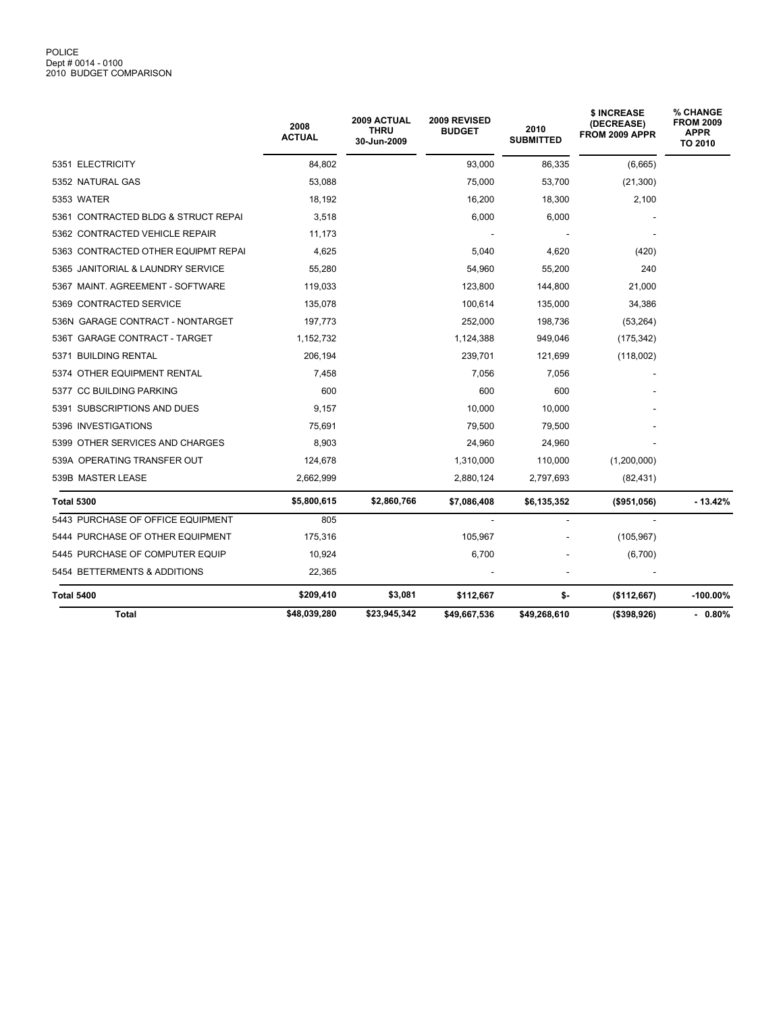|                                     | 2008<br><b>ACTUAL</b> | 2009 ACTUAL<br>THRU<br>30-Jun-2009 | 2009 REVISED<br><b>BUDGET</b> | 2010<br><b>SUBMITTED</b> | \$ INCREASE<br>(DECREASE)<br>FROM 2009 APPR | <b>% CHANGE</b><br><b>FROM 2009</b><br><b>APPR</b><br>TO 2010 |
|-------------------------------------|-----------------------|------------------------------------|-------------------------------|--------------------------|---------------------------------------------|---------------------------------------------------------------|
| 5351 ELECTRICITY                    | 84,802                |                                    | 93,000                        | 86,335                   | (6,665)                                     |                                                               |
| 5352 NATURAL GAS                    | 53,088                |                                    | 75,000                        | 53,700                   | (21, 300)                                   |                                                               |
| 5353 WATER                          | 18,192                |                                    | 16,200                        | 18,300                   | 2,100                                       |                                                               |
| 5361 CONTRACTED BLDG & STRUCT REPAI | 3,518                 |                                    | 6,000                         | 6,000                    |                                             |                                                               |
| 5362 CONTRACTED VEHICLE REPAIR      | 11,173                |                                    |                               |                          |                                             |                                                               |
| 5363 CONTRACTED OTHER EQUIPMT REPAI | 4,625                 |                                    | 5,040                         | 4,620                    | (420)                                       |                                                               |
| 5365 JANITORIAL & LAUNDRY SERVICE   | 55,280                |                                    | 54,960                        | 55,200                   | 240                                         |                                                               |
| 5367 MAINT, AGREEMENT - SOFTWARE    | 119,033               |                                    | 123,800                       | 144,800                  | 21,000                                      |                                                               |
| 5369 CONTRACTED SERVICE             | 135,078               |                                    | 100,614                       | 135,000                  | 34,386                                      |                                                               |
| 536N GARAGE CONTRACT - NONTARGET    | 197,773               |                                    | 252,000                       | 198,736                  | (53, 264)                                   |                                                               |
| 536T GARAGE CONTRACT - TARGET       | 1,152,732             |                                    | 1,124,388                     | 949,046                  | (175, 342)                                  |                                                               |
| 5371 BUILDING RENTAL                | 206,194               |                                    | 239,701                       | 121,699                  | (118,002)                                   |                                                               |
| 5374 OTHER EQUIPMENT RENTAL         | 7,458                 |                                    | 7,056                         | 7,056                    |                                             |                                                               |
| 5377 CC BUILDING PARKING            | 600                   |                                    | 600                           | 600                      |                                             |                                                               |
| 5391 SUBSCRIPTIONS AND DUES         | 9,157                 |                                    | 10,000                        | 10,000                   |                                             |                                                               |
| 5396 INVESTIGATIONS                 | 75,691                |                                    | 79,500                        | 79,500                   |                                             |                                                               |
| 5399 OTHER SERVICES AND CHARGES     | 8,903                 |                                    | 24,960                        | 24,960                   |                                             |                                                               |
| 539A OPERATING TRANSFER OUT         | 124,678               |                                    | 1,310,000                     | 110,000                  | (1,200,000)                                 |                                                               |
| 539B MASTER LEASE                   | 2,662,999             |                                    | 2,880,124                     | 2,797,693                | (82, 431)                                   |                                                               |
| <b>Total 5300</b>                   | \$5,800,615           | \$2,860,766                        | \$7,086,408                   | \$6,135,352              | $($ \$951,056)                              | $-13.42%$                                                     |
| 5443 PURCHASE OF OFFICE EQUIPMENT   | 805                   |                                    |                               |                          |                                             |                                                               |
| 5444 PURCHASE OF OTHER EQUIPMENT    | 175,316               |                                    | 105,967                       |                          | (105, 967)                                  |                                                               |
| 5445 PURCHASE OF COMPUTER EQUIP     | 10,924                |                                    | 6,700                         |                          | (6,700)                                     |                                                               |
| 5454 BETTERMENTS & ADDITIONS        | 22,365                |                                    |                               |                          |                                             |                                                               |
| <b>Total 5400</b>                   | \$209,410             | \$3,081                            | \$112,667                     | \$-                      | (\$112,667)                                 | $-100.00\%$                                                   |
| Total                               | \$48,039,280          | \$23,945,342                       | \$49,667,536                  | \$49,268,610             | $($ \$398,926)                              | $-0.80%$                                                      |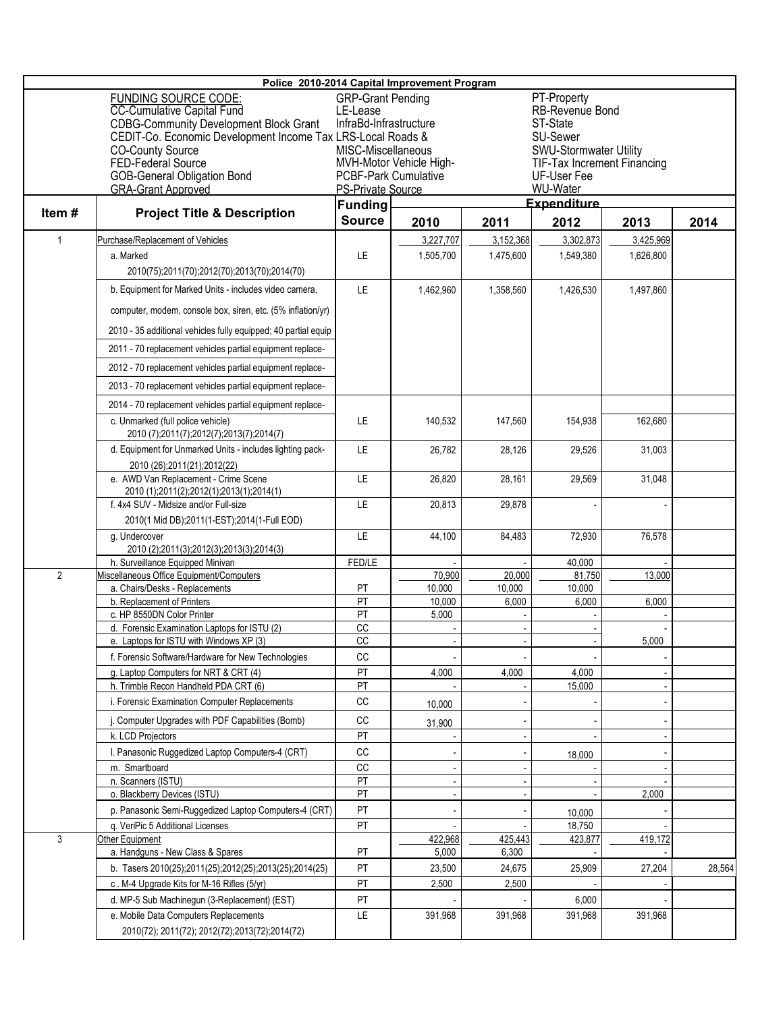| Police 2010-2014 Capital Improvement Program |                                                                                                                                                                                                                            |                                                                                                                     |                                      |                 |                                                                                                                                |                   |        |  |  |
|----------------------------------------------|----------------------------------------------------------------------------------------------------------------------------------------------------------------------------------------------------------------------------|---------------------------------------------------------------------------------------------------------------------|--------------------------------------|-----------------|--------------------------------------------------------------------------------------------------------------------------------|-------------------|--------|--|--|
|                                              | FUNDING SOURCE CODE:<br><b>CC-Cumulative Capital Fund</b><br><b>CDBG-Community Development Block Grant</b><br>CEDIT-Co. Economic Development Income Tax LRS-Local Roads &<br><b>CO-County Source</b><br>FED-Federal Source | <b>GRP-Grant Pending</b><br>LE-Lease<br>InfraBd-Infrastructure<br>MISC-Miscellaneous<br><b>PCBF-Park Cumulative</b> | MVH-Motor Vehicle High-              |                 | PT-Property<br>RB-Revenue Bond<br>ST-State<br>SU-Sewer<br>SWU-Stormwater Utility<br>TIF-Tax Increment Financing<br>UF-User Fee |                   |        |  |  |
|                                              | <b>GOB-General Obligation Bond</b><br><b>GRA-Grant Approved</b>                                                                                                                                                            | <b>PS-Private Source</b>                                                                                            |                                      |                 | WU-Water                                                                                                                       |                   |        |  |  |
|                                              |                                                                                                                                                                                                                            |                                                                                                                     | <b>Expenditure</b><br><b>Funding</b> |                 |                                                                                                                                |                   |        |  |  |
| Item#                                        | <b>Project Title &amp; Description</b>                                                                                                                                                                                     | <b>Source</b>                                                                                                       | 2010                                 | 2011            | 2014                                                                                                                           |                   |        |  |  |
| 1                                            | Purchase/Replacement of Vehicles                                                                                                                                                                                           |                                                                                                                     | 3,227,707                            | 3.152.368       | 2012<br>3.302.873                                                                                                              | 2013<br>3,425,969 |        |  |  |
|                                              | a. Marked                                                                                                                                                                                                                  | LE.                                                                                                                 | 1,505,700                            | 1,475,600       | 1,549,380                                                                                                                      | 1,626,800         |        |  |  |
|                                              | 2010(75);2011(70);2012(70);2013(70);2014(70)                                                                                                                                                                               |                                                                                                                     |                                      |                 |                                                                                                                                |                   |        |  |  |
|                                              | b. Equipment for Marked Units - includes video camera,                                                                                                                                                                     | LE.                                                                                                                 | 1,462,960                            | 1,358,560       | 1,426,530                                                                                                                      | 1,497,860         |        |  |  |
|                                              | computer, modem, console box, siren, etc. (5% inflation/yr)                                                                                                                                                                |                                                                                                                     |                                      |                 |                                                                                                                                |                   |        |  |  |
|                                              | 2010 - 35 additional vehicles fully equipped; 40 partial equip                                                                                                                                                             |                                                                                                                     |                                      |                 |                                                                                                                                |                   |        |  |  |
|                                              | 2011 - 70 replacement vehicles partial equipment replace-                                                                                                                                                                  |                                                                                                                     |                                      |                 |                                                                                                                                |                   |        |  |  |
|                                              | 2012 - 70 replacement vehicles partial equipment replace-                                                                                                                                                                  |                                                                                                                     |                                      |                 |                                                                                                                                |                   |        |  |  |
|                                              |                                                                                                                                                                                                                            |                                                                                                                     |                                      |                 |                                                                                                                                |                   |        |  |  |
|                                              | 2013 - 70 replacement vehicles partial equipment replace-                                                                                                                                                                  |                                                                                                                     |                                      |                 |                                                                                                                                |                   |        |  |  |
|                                              | 2014 - 70 replacement vehicles partial equipment replace-                                                                                                                                                                  |                                                                                                                     |                                      |                 |                                                                                                                                |                   |        |  |  |
|                                              | c. Unmarked (full police vehicle)<br>2010 (7);2011(7);2012(7);2013(7);2014(7)                                                                                                                                              | LE.                                                                                                                 | 140,532                              | 147,560         | 154,938                                                                                                                        | 162,680           |        |  |  |
|                                              | d. Equipment for Unmarked Units - includes lighting pack-                                                                                                                                                                  | LE.                                                                                                                 | 26,782                               | 28,126          | 29,526                                                                                                                         | 31,003            |        |  |  |
|                                              | 2010 (26);2011(21);2012(22)                                                                                                                                                                                                |                                                                                                                     |                                      |                 |                                                                                                                                |                   |        |  |  |
|                                              | e. AWD Van Replacement - Crime Scene<br>2010 (1);2011(2);2012(1);2013(1);2014(1)                                                                                                                                           | LE.                                                                                                                 | 26,820                               | 28,161          | 29,569                                                                                                                         | 31,048            |        |  |  |
|                                              | f. 4x4 SUV - Midsize and/or Full-size                                                                                                                                                                                      | LE                                                                                                                  | 20,813                               | 29,878          |                                                                                                                                |                   |        |  |  |
|                                              | 2010(1 Mid DB);2011(1-EST);2014(1-Full EOD)                                                                                                                                                                                |                                                                                                                     |                                      |                 |                                                                                                                                |                   |        |  |  |
|                                              | g. Undercover                                                                                                                                                                                                              | LE                                                                                                                  | 44,100                               | 84,483          | 72,930                                                                                                                         | 76,578            |        |  |  |
|                                              | 2010 (2);2011(3);2012(3);2013(3);2014(3)<br>h. Surveillance Equipped Minivan                                                                                                                                               | FED/LE                                                                                                              |                                      |                 | 40,000                                                                                                                         |                   |        |  |  |
| $\overline{2}$                               | Miscellaneous Office Equipment/Computers                                                                                                                                                                                   |                                                                                                                     | 70,900                               | 20,000          | 81,750                                                                                                                         | 13.000            |        |  |  |
|                                              | a. Chairs/Desks - Replacements                                                                                                                                                                                             | PT                                                                                                                  | 10,000                               | 10,000          | 10,000                                                                                                                         |                   |        |  |  |
|                                              | b. Replacement of Printers                                                                                                                                                                                                 | $\overline{PT}$                                                                                                     | 10.000                               | 6,000           | 6,000                                                                                                                          | 6,000             |        |  |  |
|                                              | c. HP 8550DN Color Printer<br>d. Forensic Examination Laptops for ISTU (2)                                                                                                                                                 | PT<br>$\overline{cc}$                                                                                               | 5,000                                |                 |                                                                                                                                |                   |        |  |  |
|                                              | e. Laptops for ISTU with Windows XP (3)                                                                                                                                                                                    | $\overline{cc}$                                                                                                     |                                      |                 |                                                                                                                                | 5,000             |        |  |  |
|                                              | f. Forensic Software/Hardware for New Technologies                                                                                                                                                                         | CC                                                                                                                  |                                      |                 |                                                                                                                                |                   |        |  |  |
|                                              | g. Laptop Computers for NRT & CRT (4)                                                                                                                                                                                      | PT                                                                                                                  | 4,000                                | 4,000           | 4,000                                                                                                                          |                   |        |  |  |
|                                              | h. Trimble Recon Handheld PDA CRT (6)                                                                                                                                                                                      | PT                                                                                                                  |                                      |                 | 15,000                                                                                                                         |                   |        |  |  |
|                                              | i. Forensic Examination Computer Replacements                                                                                                                                                                              | CC                                                                                                                  | 10,000                               |                 |                                                                                                                                |                   |        |  |  |
|                                              | j. Computer Upgrades with PDF Capabilities (Bomb)                                                                                                                                                                          | CC                                                                                                                  | 31,900                               |                 |                                                                                                                                |                   |        |  |  |
|                                              | k. LCD Projectors                                                                                                                                                                                                          | PT                                                                                                                  |                                      |                 |                                                                                                                                |                   |        |  |  |
|                                              | I. Panasonic Ruggedized Laptop Computers-4 (CRT)                                                                                                                                                                           | CC                                                                                                                  |                                      |                 | 18,000                                                                                                                         |                   |        |  |  |
|                                              | m. Smartboard<br>n. Scanners (ISTU)                                                                                                                                                                                        | cc<br>PT                                                                                                            |                                      |                 |                                                                                                                                |                   |        |  |  |
|                                              | o. Blackberry Devices (ISTU)                                                                                                                                                                                               | PT                                                                                                                  |                                      |                 |                                                                                                                                | 2,000             |        |  |  |
|                                              | p. Panasonic Semi-Ruggedized Laptop Computers-4 (CRT)                                                                                                                                                                      | PT                                                                                                                  |                                      |                 | 10,000                                                                                                                         |                   |        |  |  |
|                                              | q. VeriPic 5 Additional Licenses                                                                                                                                                                                           | PT                                                                                                                  |                                      |                 | 18,750                                                                                                                         |                   |        |  |  |
| 3                                            | Other Equipment<br>a. Handguns - New Class & Spares                                                                                                                                                                        | PT                                                                                                                  | 422,968<br>5,000                     | 425,443         | 423,877                                                                                                                        | 419,172           |        |  |  |
|                                              | b. Tasers 2010(25);2011(25);2012(25);2013(25);2014(25)                                                                                                                                                                     | PT                                                                                                                  | 23,500                               | 6,300<br>24,675 | 25,909                                                                                                                         | 27,204            | 28,564 |  |  |
|                                              | c. M-4 Upgrade Kits for M-16 Rifles (5/yr)                                                                                                                                                                                 | PT                                                                                                                  | 2,500                                | 2,500           |                                                                                                                                |                   |        |  |  |
|                                              | d. MP-5 Sub Machinegun (3-Replacement) (EST)                                                                                                                                                                               | PT                                                                                                                  |                                      |                 | 6,000                                                                                                                          |                   |        |  |  |
|                                              | e. Mobile Data Computers Replacements                                                                                                                                                                                      | LE                                                                                                                  | 391,968                              | 391,968         | 391,968                                                                                                                        | 391,968           |        |  |  |
|                                              | 2010(72); 2011(72); 2012(72); 2013(72); 2014(72)                                                                                                                                                                           |                                                                                                                     |                                      |                 |                                                                                                                                |                   |        |  |  |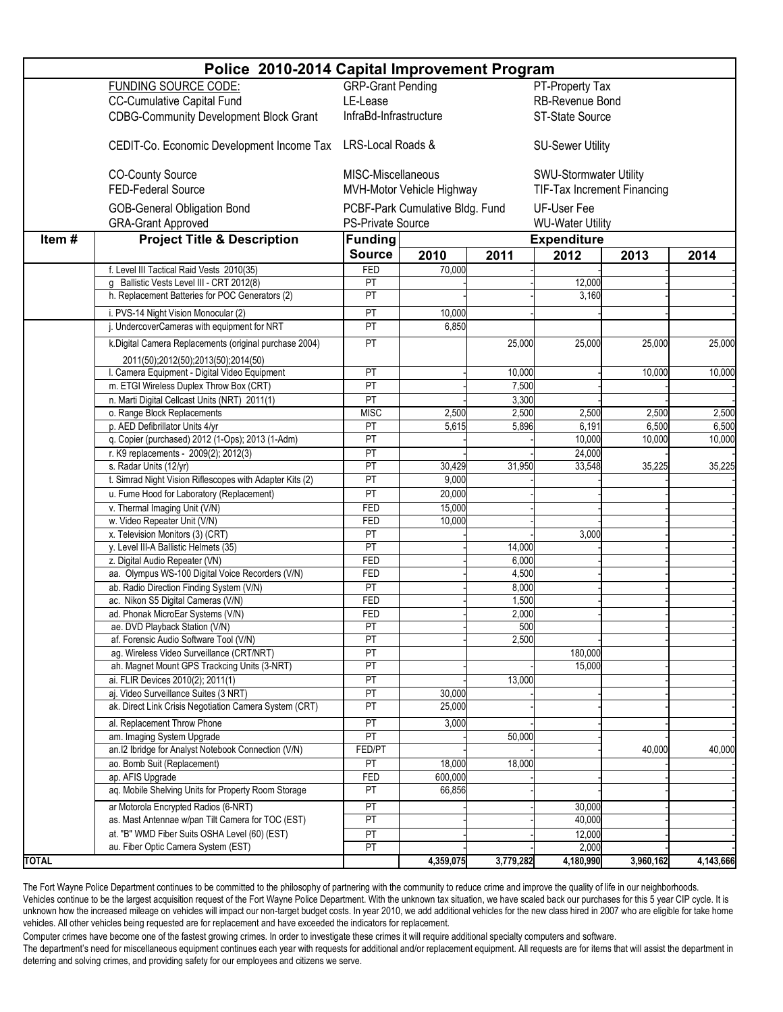| Police 2010-2014 Capital Improvement Program |                                                                                          |                          |                                 |                 |                                    |                        |           |  |
|----------------------------------------------|------------------------------------------------------------------------------------------|--------------------------|---------------------------------|-----------------|------------------------------------|------------------------|-----------|--|
|                                              | <b>FUNDING SOURCE CODE:</b>                                                              | <b>GRP-Grant Pending</b> |                                 |                 | PT-Property Tax                    |                        |           |  |
|                                              | <b>CC-Cumulative Capital Fund</b>                                                        | LE-Lease                 |                                 |                 | RB-Revenue Bond                    |                        |           |  |
|                                              | <b>CDBG-Community Development Block Grant</b>                                            | InfraBd-Infrastructure   |                                 |                 | ST-State Source                    |                        |           |  |
|                                              |                                                                                          |                          |                                 |                 |                                    |                        |           |  |
|                                              | CEDIT-Co. Economic Development Income Tax                                                |                          | LRS-Local Roads &               |                 | <b>SU-Sewer Utility</b>            |                        |           |  |
|                                              | <b>CO-County Source</b>                                                                  |                          | MISC-Miscellaneous              |                 |                                    | SWU-Stormwater Utility |           |  |
|                                              | <b>FED-Federal Source</b>                                                                |                          | MVH-Motor Vehicle Highway       |                 | <b>TIF-Tax Increment Financing</b> |                        |           |  |
|                                              |                                                                                          |                          | PCBF-Park Cumulative Bldg. Fund |                 |                                    |                        |           |  |
|                                              | <b>GOB-General Obligation Bond</b>                                                       |                          |                                 |                 |                                    |                        |           |  |
|                                              | <b>GRA-Grant Approved</b>                                                                | <b>PS-Private Source</b> |                                 |                 | <b>WU-Water Utility</b>            |                        |           |  |
| Item#                                        | <b>Project Title &amp; Description</b>                                                   |                          | <b>Funding</b>                  |                 |                                    | <b>Expenditure</b>     |           |  |
|                                              |                                                                                          | <b>Source</b>            | 2010                            | 2011            | 2012                               | 2013                   | 2014      |  |
|                                              | f. Level III Tactical Raid Vests 2010(35)                                                | <b>FED</b>               | 70,000                          |                 |                                    |                        |           |  |
|                                              | g Ballistic Vests Level III - CRT 2012(8)                                                | PT                       |                                 |                 | 12,000                             |                        |           |  |
|                                              | h. Replacement Batteries for POC Generators (2)                                          | PT                       |                                 |                 | 3,160                              |                        |           |  |
|                                              | i. PVS-14 Night Vision Monocular (2)                                                     | PT                       | 10,000                          |                 |                                    |                        |           |  |
|                                              | j. UndercoverCameras with equipment for NRT                                              | PT                       | 6,850                           |                 |                                    |                        |           |  |
|                                              | k.Digital Camera Replacements (original purchase 2004)                                   | PT                       |                                 | 25,000          | 25,000                             | 25,000                 | 25,000    |  |
|                                              |                                                                                          |                          |                                 |                 |                                    |                        |           |  |
|                                              | 2011(50);2012(50);2013(50);2014(50)                                                      | PT                       |                                 |                 |                                    |                        | 10,000    |  |
|                                              | I. Camera Equipment - Digital Video Equipment<br>m. ETGI Wireless Duplex Throw Box (CRT) | PT                       |                                 | 10,000<br>7,500 |                                    | 10,000                 |           |  |
|                                              |                                                                                          | $\overline{PT}$          |                                 |                 |                                    |                        |           |  |
|                                              | n. Marti Digital Cellcast Units (NRT) 2011(1)<br>o. Range Block Replacements             | <b>MISC</b>              | 2,500                           | 3,300<br>2,500  | 2,500                              | 2,500                  | 2,500     |  |
|                                              | p. AED Defibrillator Units 4/yr                                                          | PT                       | 5,615                           | 5,896           | 6,191                              | 6,500                  | 6,500     |  |
|                                              | q. Copier (purchased) 2012 (1-Ops); 2013 (1-Adm)                                         | PT                       |                                 |                 | 10,000                             | 10,000                 | 10,000    |  |
|                                              | r. K9 replacements - 2009(2); 2012(3)                                                    | PT                       |                                 |                 | 24,000                             |                        |           |  |
|                                              | s. Radar Units (12/yr)                                                                   | PT                       | 30,429                          | 31,950          | 33,548                             | 35,225                 | 35,225    |  |
|                                              | t. Simrad Night Vision Riflescopes with Adapter Kits (2)                                 | PT                       | 9,000                           |                 |                                    |                        |           |  |
|                                              | u. Fume Hood for Laboratory (Replacement)                                                | PT                       | 20,000                          |                 |                                    |                        |           |  |
|                                              | v. Thermal Imaging Unit (V/N)                                                            | FED                      | 15,000                          |                 |                                    |                        |           |  |
|                                              | w. Video Repeater Unit (V/N)                                                             | FED                      | 10,000                          |                 |                                    |                        |           |  |
|                                              | x. Television Monitors (3) (CRT)                                                         | PT                       |                                 |                 | 3,000                              |                        |           |  |
|                                              | y. Level III-A Ballistic Helmets (35)                                                    | PT                       |                                 | 14,000          |                                    |                        |           |  |
|                                              | z. Digital Audio Repeater (VN)                                                           | FED                      |                                 | 6,000           |                                    |                        |           |  |
|                                              | aa. Olympus WS-100 Digital Voice Recorders (V/N)                                         | FED                      |                                 | 4,500           |                                    |                        |           |  |
|                                              | ab. Radio Direction Finding System (V/N)                                                 | PT                       |                                 | 8,000           |                                    |                        |           |  |
|                                              | ac. Nikon S5 Digital Cameras (V/N)                                                       | FED                      |                                 | 1,500           |                                    |                        |           |  |
|                                              | ad. Phonak MicroEar Systems (V/N)                                                        | FED                      |                                 | 2,000           |                                    |                        |           |  |
|                                              | ae. DVD Playback Station (V/N)                                                           | PT                       |                                 | 500             |                                    |                        |           |  |
|                                              | af. Forensic Audio Software Tool (V/N)                                                   | PT                       |                                 | 2,500           |                                    |                        |           |  |
|                                              | ag. Wireless Video Surveillance (CRT/NRT)                                                | $\overline{PT}$          |                                 |                 | 180,000                            |                        |           |  |
|                                              | ah. Magnet Mount GPS Trackcing Units (3-NRT)                                             | PT                       |                                 |                 | 15,000                             |                        |           |  |
|                                              | ai. FLIR Devices 2010(2); 2011(1)                                                        | PT                       |                                 | 13,000          |                                    |                        |           |  |
|                                              | aj. Video Surveillance Suites (3 NRT)                                                    | PT                       | 30,000                          |                 |                                    |                        |           |  |
|                                              | ak. Direct Link Crisis Negotiation Camera System (CRT)                                   | PT                       | 25,000                          |                 |                                    |                        |           |  |
|                                              | al. Replacement Throw Phone                                                              | PT                       | 3,000                           |                 |                                    |                        |           |  |
|                                              | am. Imaging System Upgrade                                                               | PT                       |                                 | 50,000          |                                    |                        |           |  |
|                                              | an.I2 Ibridge for Analyst Notebook Connection (V/N)                                      | FED/PT                   |                                 |                 |                                    | 40,000                 | 40,000    |  |
|                                              | ao. Bomb Suit (Replacement)                                                              | PT                       | 18,000                          | 18,000          |                                    |                        |           |  |
|                                              | ap. AFIS Upgrade                                                                         | <b>FED</b>               | 600,000                         |                 |                                    |                        |           |  |
|                                              | aq. Mobile Shelving Units for Property Room Storage                                      | PT                       | 66,856                          |                 |                                    |                        |           |  |
|                                              | ar Motorola Encrypted Radios (6-NRT)                                                     | PT                       |                                 |                 | 30,000                             |                        |           |  |
|                                              | as. Mast Antennae w/pan Tilt Camera for TOC (EST)                                        | PT                       |                                 |                 | 40,000                             |                        |           |  |
|                                              | at. "B" WMD Fiber Suits OSHA Level (60) (EST)                                            | PT                       |                                 |                 | 12,000                             |                        |           |  |
|                                              | au. Fiber Optic Camera System (EST)                                                      | PT                       |                                 |                 | 2,000                              |                        |           |  |
| <b>TOTAL</b>                                 |                                                                                          |                          | 4,359,075                       | 3,779,282       | 4,180,990                          | 3,960,162              | 4,143,666 |  |

The Fort Wayne Police Department continues to be committed to the philosophy of partnering with the community to reduce crime and improve the quality of life in our neighborhoods. Vehicles continue to be the largest acquisition request of the Fort Wayne Police Department. With the unknown tax situation, we have scaled back our purchases for this 5 year CIP cycle. It is unknown how the increased mileage on vehicles will impact our non-target budget costs. In year 2010, we add additional vehicles for the new class hired in 2007 who are eligible for take home vehicles. All other vehicles being requested are for replacement and have exceeded the indicators for replacement.

Computer crimes have become one of the fastest growing crimes. In order to investigate these crimes it will require additional specialty computers and software.

The department's need for miscellaneous equipment continues each year with requests for additional and/or replacement equipment. All requests are for items that will assist the department in deterring and solving crimes, and providing safety for our employees and citizens we serve.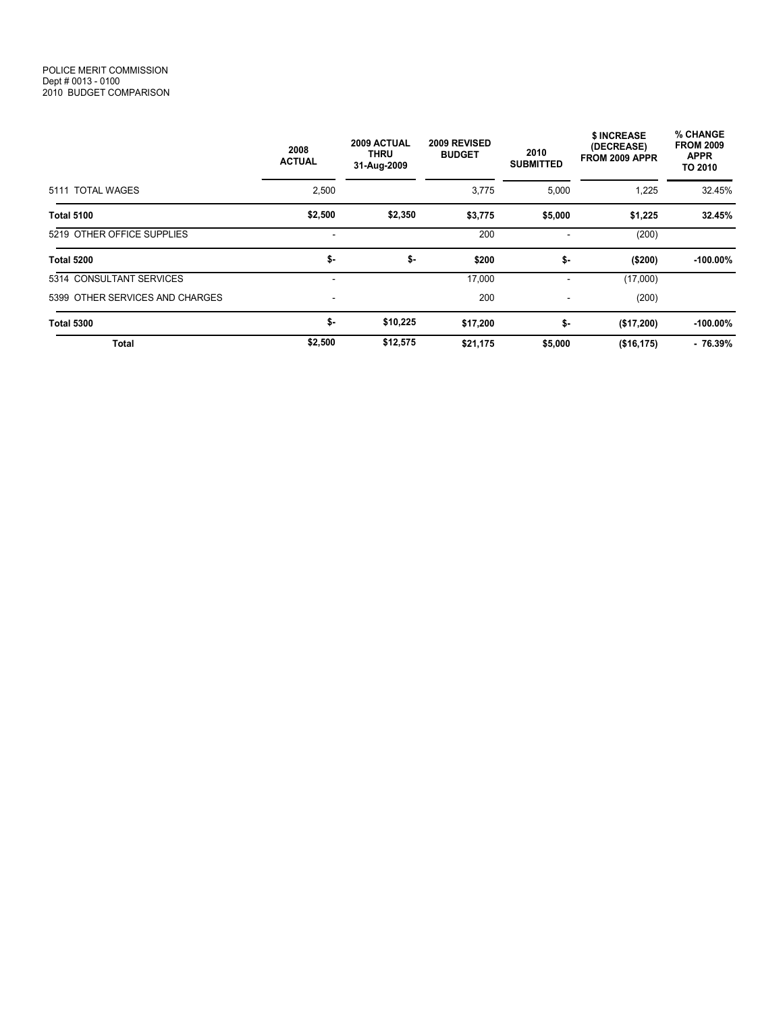|                                 | 2009 ACTUAL<br>2008<br>THRU<br><b>ACTUAL</b><br>31-Aug-2009 |          | 2009 REVISED<br><b>BUDGET</b> | 2010<br><b>SUBMITTED</b> | \$ INCREASE<br>(DECREASE)<br>FROM 2009 APPR | % CHANGE<br><b>FROM 2009</b><br><b>APPR</b><br>TO 2010 |
|---------------------------------|-------------------------------------------------------------|----------|-------------------------------|--------------------------|---------------------------------------------|--------------------------------------------------------|
| 5111 TOTAL WAGES                | 2,500                                                       |          | 3,775                         | 5,000                    | 1,225                                       | 32.45%                                                 |
| <b>Total 5100</b>               | \$2,500                                                     | \$2,350  | \$3,775                       | \$5,000                  | \$1,225                                     | 32.45%                                                 |
| 5219 OTHER OFFICE SUPPLIES      |                                                             |          | 200                           |                          | (200)                                       |                                                        |
| <b>Total 5200</b>               | \$-                                                         | \$-      | \$200                         | \$-                      | (\$200)                                     | $-100.00\%$                                            |
| 5314 CONSULTANT SERVICES        |                                                             |          | 17,000                        |                          | (17,000)                                    |                                                        |
| 5399 OTHER SERVICES AND CHARGES |                                                             |          | 200                           | $\overline{\phantom{a}}$ | (200)                                       |                                                        |
| <b>Total 5300</b>               | \$-                                                         | \$10,225 | \$17,200                      | \$-                      | (\$17,200)                                  | $-100.00\%$                                            |
| <b>Total</b>                    | \$2,500                                                     | \$12,575 | \$21,175                      | \$5,000                  | (\$16, 175)                                 | $-76.39%$                                              |